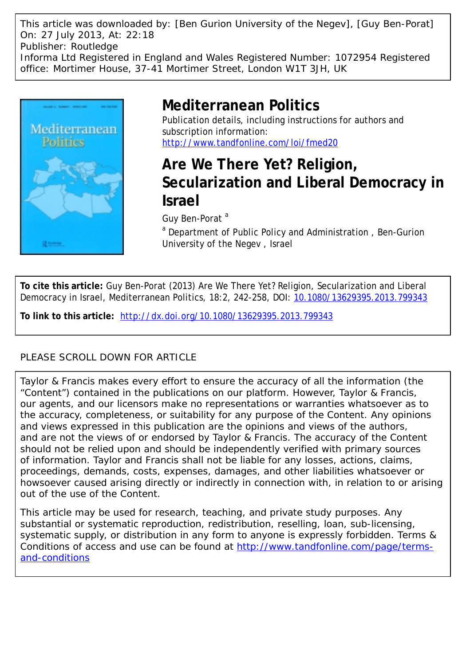This article was downloaded by: [Ben Gurion University of the Negev], [Guy Ben-Porat] On: 27 July 2013, At: 22:18 Publisher: Routledge Informa Ltd Registered in England and Wales Registered Number: 1072954 Registered office: Mortimer House, 37-41 Mortimer Street, London W1T 3JH, UK



## **Mediterranean Politics**

Publication details, including instructions for authors and subscription information: <http://www.tandfonline.com/loi/fmed20>

# **Are We There Yet? Religion, Secularization and Liberal Democracy in Israel**

Guy Ben-Porat<sup>a</sup>

<sup>a</sup> Department of Public Policy and Administration, Ben-Gurion University of the Negev , Israel

**To cite this article:** Guy Ben-Porat (2013) Are We There Yet? Religion, Secularization and Liberal Democracy in Israel, Mediterranean Politics, 18:2, 242-258, DOI: [10.1080/13629395.2013.799343](http://www.tandfonline.com/action/showCitFormats?doi=10.1080/13629395.2013.799343)

**To link to this article:** <http://dx.doi.org/10.1080/13629395.2013.799343>

### PLEASE SCROLL DOWN FOR ARTICLE

Taylor & Francis makes every effort to ensure the accuracy of all the information (the "Content") contained in the publications on our platform. However, Taylor & Francis, our agents, and our licensors make no representations or warranties whatsoever as to the accuracy, completeness, or suitability for any purpose of the Content. Any opinions and views expressed in this publication are the opinions and views of the authors, and are not the views of or endorsed by Taylor & Francis. The accuracy of the Content should not be relied upon and should be independently verified with primary sources of information. Taylor and Francis shall not be liable for any losses, actions, claims, proceedings, demands, costs, expenses, damages, and other liabilities whatsoever or howsoever caused arising directly or indirectly in connection with, in relation to or arising out of the use of the Content.

This article may be used for research, teaching, and private study purposes. Any substantial or systematic reproduction, redistribution, reselling, loan, sub-licensing, systematic supply, or distribution in any form to anyone is expressly forbidden. Terms & Conditions of access and use can be found at [http://www.tandfonline.com/page/terms](http://www.tandfonline.com/page/terms-and-conditions)[and-conditions](http://www.tandfonline.com/page/terms-and-conditions)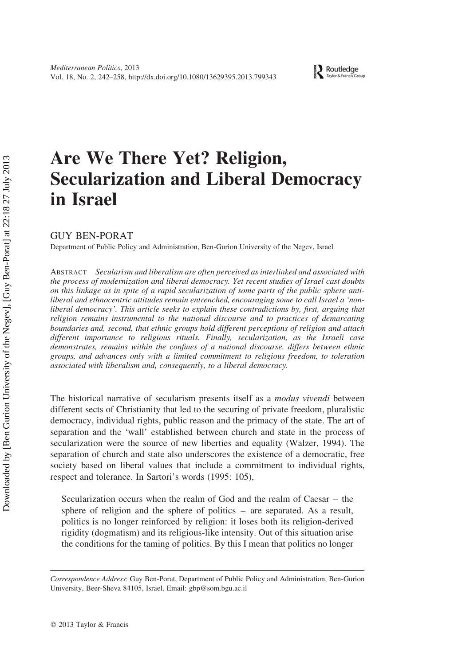

# Are We There Yet? Religion, Secularization and Liberal Democracy in Israel

GUY BEN-PORAT

Department of Public Policy and Administration, Ben-Gurion University of the Negev, Israel

ABSTRACT Secularism and liberalism are often perceived as interlinked and associated with the process of modernization and liberal democracy. Yet recent studies of Israel cast doubts on this linkage as in spite of a rapid secularization of some parts of the public sphere antiliberal and ethnocentric attitudes remain entrenched, encouraging some to call Israel a 'nonliberal democracy'. This article seeks to explain these contradictions by, first, arguing that religion remains instrumental to the national discourse and to practices of demarcating boundaries and, second, that ethnic groups hold different perceptions of religion and attach different importance to religious rituals. Finally, secularization, as the Israeli case demonstrates, remains within the confines of a national discourse, differs between ethnic groups, and advances only with a limited commitment to religious freedom, to toleration associated with liberalism and, consequently, to a liberal democracy.

The historical narrative of secularism presents itself as a *modus vivendi* between different sects of Christianity that led to the securing of private freedom, pluralistic democracy, individual rights, public reason and the primacy of the state. The art of separation and the 'wall' established between church and state in the process of secularization were the source of new liberties and equality (Walzer, 1994). The separation of church and state also underscores the existence of a democratic, free society based on liberal values that include a commitment to individual rights, respect and tolerance. In Sartori's words (1995: 105),

Secularization occurs when the realm of God and the realm of Caesar – the sphere of religion and the sphere of politics – are separated. As a result, politics is no longer reinforced by religion: it loses both its religion-derived rigidity (dogmatism) and its religious-like intensity. Out of this situation arise the conditions for the taming of politics. By this I mean that politics no longer

Correspondence Address: Guy Ben-Porat, Department of Public Policy and Administration, Ben-Gurion University, Beer-Sheva 84105, Israel. Email: gbp@som.bgu.ac.il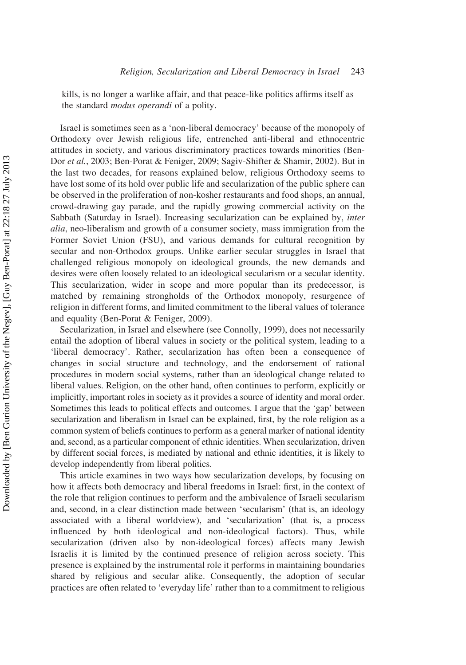kills, is no longer a warlike affair, and that peace-like politics affirms itself as the standard modus operandi of a polity.

Israel is sometimes seen as a 'non-liberal democracy' because of the monopoly of Orthodoxy over Jewish religious life, entrenched anti-liberal and ethnocentric attitudes in society, and various discriminatory practices towards minorities (Ben-Dor et al., 2003; Ben-Porat & Feniger, 2009; Sagiv-Shifter & Shamir, 2002). But in the last two decades, for reasons explained below, religious Orthodoxy seems to have lost some of its hold over public life and secularization of the public sphere can be observed in the proliferation of non-kosher restaurants and food shops, an annual, crowd-drawing gay parade, and the rapidly growing commercial activity on the Sabbath (Saturday in Israel). Increasing secularization can be explained by, inter alia, neo-liberalism and growth of a consumer society, mass immigration from the Former Soviet Union (FSU), and various demands for cultural recognition by secular and non-Orthodox groups. Unlike earlier secular struggles in Israel that challenged religious monopoly on ideological grounds, the new demands and desires were often loosely related to an ideological secularism or a secular identity. This secularization, wider in scope and more popular than its predecessor, is matched by remaining strongholds of the Orthodox monopoly, resurgence of religion in different forms, and limited commitment to the liberal values of tolerance and equality (Ben-Porat & Feniger, 2009).

Secularization, in Israel and elsewhere (see Connolly, 1999), does not necessarily entail the adoption of liberal values in society or the political system, leading to a 'liberal democracy'. Rather, secularization has often been a consequence of changes in social structure and technology, and the endorsement of rational procedures in modern social systems, rather than an ideological change related to liberal values. Religion, on the other hand, often continues to perform, explicitly or implicitly, important roles in society as it provides a source of identity and moral order. Sometimes this leads to political effects and outcomes. I argue that the 'gap' between secularization and liberalism in Israel can be explained, first, by the role religion as a common system of beliefs continues to perform as a general marker of national identity and, second, as a particular component of ethnic identities. When secularization, driven by different social forces, is mediated by national and ethnic identities, it is likely to develop independently from liberal politics.

This article examines in two ways how secularization develops, by focusing on how it affects both democracy and liberal freedoms in Israel: first, in the context of the role that religion continues to perform and the ambivalence of Israeli secularism and, second, in a clear distinction made between 'secularism' (that is, an ideology associated with a liberal worldview), and 'secularization' (that is, a process influenced by both ideological and non-ideological factors). Thus, while secularization (driven also by non-ideological forces) affects many Jewish Israelis it is limited by the continued presence of religion across society. This presence is explained by the instrumental role it performs in maintaining boundaries shared by religious and secular alike. Consequently, the adoption of secular practices are often related to 'everyday life' rather than to a commitment to religious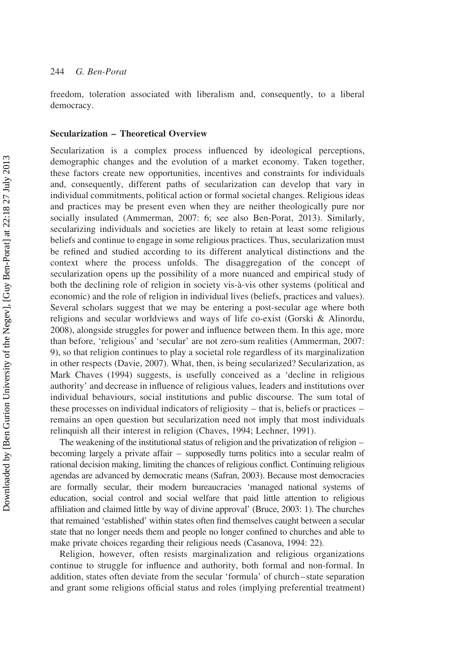freedom, toleration associated with liberalism and, consequently, to a liberal democracy.

#### Secularization – Theoretical Overview

Secularization is a complex process influenced by ideological perceptions, demographic changes and the evolution of a market economy. Taken together, these factors create new opportunities, incentives and constraints for individuals and, consequently, different paths of secularization can develop that vary in individual commitments, political action or formal societal changes. Religious ideas and practices may be present even when they are neither theologically pure nor socially insulated (Ammerman, 2007: 6; see also Ben-Porat, 2013). Similarly, secularizing individuals and societies are likely to retain at least some religious beliefs and continue to engage in some religious practices. Thus, secularization must be refined and studied according to its different analytical distinctions and the context where the process unfolds. The disaggregation of the concept of secularization opens up the possibility of a more nuanced and empirical study of both the declining role of religion in society vis- $\hat{a}$ -vis other systems (political and economic) and the role of religion in individual lives (beliefs, practices and values). Several scholars suggest that we may be entering a post-secular age where both religions and secular worldviews and ways of life co-exist (Gorski & Alinordu, 2008), alongside struggles for power and influence between them. In this age, more than before, 'religious' and 'secular' are not zero-sum realities (Ammerman, 2007: 9), so that religion continues to play a societal role regardless of its marginalization in other respects (Davie, 2007). What, then, is being secularized? Secularization, as Mark Chaves (1994) suggests, is usefully conceived as a 'decline in religious authority' and decrease in influence of religious values, leaders and institutions over individual behaviours, social institutions and public discourse. The sum total of these processes on individual indicators of religiosity – that is, beliefs or practices – remains an open question but secularization need not imply that most individuals relinquish all their interest in religion (Chaves, 1994; Lechner, 1991).

The weakening of the institutional status of religion and the privatization of religion – becoming largely a private affair – supposedly turns politics into a secular realm of rational decision making, limiting the chances of religious conflict. Continuing religious agendas are advanced by democratic means (Safran, 2003). Because most democracies are formally secular, their modern bureaucracies 'managed national systems of education, social control and social welfare that paid little attention to religious affiliation and claimed little by way of divine approval' (Bruce, 2003: 1). The churches that remained 'established' within states often find themselves caught between a secular state that no longer needs them and people no longer confined to churches and able to make private choices regarding their religious needs (Casanova, 1994: 22).

Religion, however, often resists marginalization and religious organizations continue to struggle for influence and authority, both formal and non-formal. In addition, states often deviate from the secular 'formula' of church–state separation and grant some religions official status and roles (implying preferential treatment)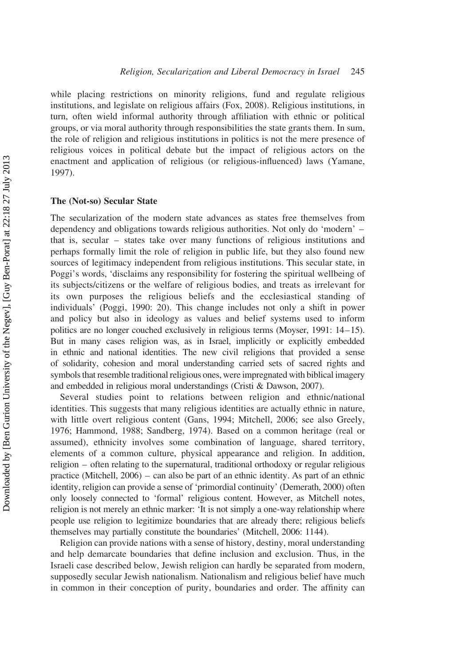while placing restrictions on minority religions, fund and regulate religious institutions, and legislate on religious affairs (Fox, 2008). Religious institutions, in turn, often wield informal authority through affiliation with ethnic or political groups, or via moral authority through responsibilities the state grants them. In sum, the role of religion and religious institutions in politics is not the mere presence of religious voices in political debate but the impact of religious actors on the enactment and application of religious (or religious-influenced) laws (Yamane, 1997).

#### The (Not-so) Secular State

The secularization of the modern state advances as states free themselves from dependency and obligations towards religious authorities. Not only do 'modern' – that is, secular – states take over many functions of religious institutions and perhaps formally limit the role of religion in public life, but they also found new sources of legitimacy independent from religious institutions. This secular state, in Poggi's words, 'disclaims any responsibility for fostering the spiritual wellbeing of its subjects/citizens or the welfare of religious bodies, and treats as irrelevant for its own purposes the religious beliefs and the ecclesiastical standing of individuals' (Poggi, 1990: 20). This change includes not only a shift in power and policy but also in ideology as values and belief systems used to inform politics are no longer couched exclusively in religious terms (Moyser, 1991: 14–15). But in many cases religion was, as in Israel, implicitly or explicitly embedded in ethnic and national identities. The new civil religions that provided a sense of solidarity, cohesion and moral understanding carried sets of sacred rights and symbols that resemble traditional religious ones, were impregnated with biblical imagery and embedded in religious moral understandings (Cristi & Dawson, 2007).

Several studies point to relations between religion and ethnic/national identities. This suggests that many religious identities are actually ethnic in nature, with little overt religious content (Gans, 1994; Mitchell, 2006; see also Greely, 1976; Hammond, 1988; Sandberg, 1974). Based on a common heritage (real or assumed), ethnicity involves some combination of language, shared territory, elements of a common culture, physical appearance and religion. In addition, religion – often relating to the supernatural, traditional orthodoxy or regular religious practice (Mitchell, 2006) – can also be part of an ethnic identity. As part of an ethnic identity, religion can provide a sense of 'primordial continuity' (Demerath, 2000) often only loosely connected to 'formal' religious content. However, as Mitchell notes, religion is not merely an ethnic marker: 'It is not simply a one-way relationship where people use religion to legitimize boundaries that are already there; religious beliefs themselves may partially constitute the boundaries' (Mitchell, 2006: 1144).

Religion can provide nations with a sense of history, destiny, moral understanding and help demarcate boundaries that define inclusion and exclusion. Thus, in the Israeli case described below, Jewish religion can hardly be separated from modern, supposedly secular Jewish nationalism. Nationalism and religious belief have much in common in their conception of purity, boundaries and order. The affinity can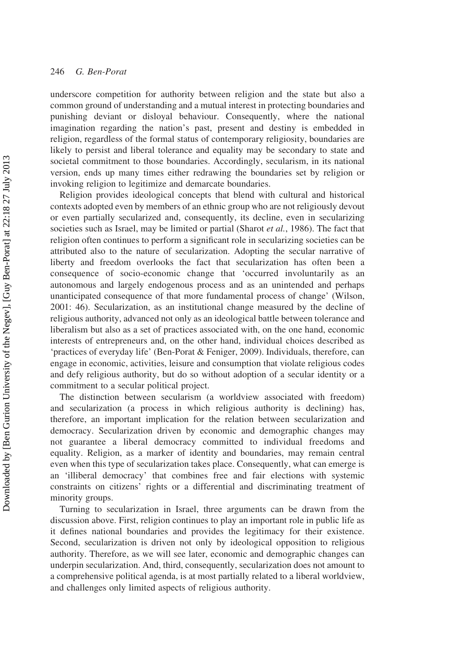underscore competition for authority between religion and the state but also a common ground of understanding and a mutual interest in protecting boundaries and punishing deviant or disloyal behaviour. Consequently, where the national imagination regarding the nation's past, present and destiny is embedded in religion, regardless of the formal status of contemporary religiosity, boundaries are likely to persist and liberal tolerance and equality may be secondary to state and societal commitment to those boundaries. Accordingly, secularism, in its national version, ends up many times either redrawing the boundaries set by religion or invoking religion to legitimize and demarcate boundaries.

Religion provides ideological concepts that blend with cultural and historical contexts adopted even by members of an ethnic group who are not religiously devout or even partially secularized and, consequently, its decline, even in secularizing societies such as Israel, may be limited or partial (Sharot *et al.*, 1986). The fact that religion often continues to perform a significant role in secularizing societies can be attributed also to the nature of secularization. Adopting the secular narrative of liberty and freedom overlooks the fact that secularization has often been a consequence of socio-economic change that 'occurred involuntarily as an autonomous and largely endogenous process and as an unintended and perhaps unanticipated consequence of that more fundamental process of change' (Wilson, 2001: 46). Secularization, as an institutional change measured by the decline of religious authority, advanced not only as an ideological battle between tolerance and liberalism but also as a set of practices associated with, on the one hand, economic interests of entrepreneurs and, on the other hand, individual choices described as 'practices of everyday life' (Ben-Porat & Feniger, 2009). Individuals, therefore, can engage in economic, activities, leisure and consumption that violate religious codes and defy religious authority, but do so without adoption of a secular identity or a commitment to a secular political project.

The distinction between secularism (a worldview associated with freedom) and secularization (a process in which religious authority is declining) has, therefore, an important implication for the relation between secularization and democracy. Secularization driven by economic and demographic changes may not guarantee a liberal democracy committed to individual freedoms and equality. Religion, as a marker of identity and boundaries, may remain central even when this type of secularization takes place. Consequently, what can emerge is an 'illiberal democracy' that combines free and fair elections with systemic constraints on citizens' rights or a differential and discriminating treatment of minority groups.

Turning to secularization in Israel, three arguments can be drawn from the discussion above. First, religion continues to play an important role in public life as it defines national boundaries and provides the legitimacy for their existence. Second, secularization is driven not only by ideological opposition to religious authority. Therefore, as we will see later, economic and demographic changes can underpin secularization. And, third, consequently, secularization does not amount to a comprehensive political agenda, is at most partially related to a liberal worldview, and challenges only limited aspects of religious authority.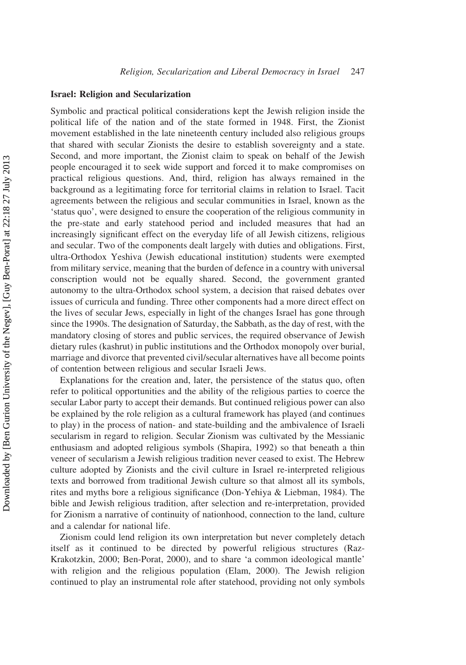#### Israel: Religion and Secularization

Symbolic and practical political considerations kept the Jewish religion inside the political life of the nation and of the state formed in 1948. First, the Zionist movement established in the late nineteenth century included also religious groups that shared with secular Zionists the desire to establish sovereignty and a state. Second, and more important, the Zionist claim to speak on behalf of the Jewish people encouraged it to seek wide support and forced it to make compromises on practical religious questions. And, third, religion has always remained in the background as a legitimating force for territorial claims in relation to Israel. Tacit agreements between the religious and secular communities in Israel, known as the 'status quo', were designed to ensure the cooperation of the religious community in the pre-state and early statehood period and included measures that had an increasingly significant effect on the everyday life of all Jewish citizens, religious and secular. Two of the components dealt largely with duties and obligations. First, ultra-Orthodox Yeshiva (Jewish educational institution) students were exempted from military service, meaning that the burden of defence in a country with universal conscription would not be equally shared. Second, the government granted autonomy to the ultra-Orthodox school system, a decision that raised debates over issues of curricula and funding. Three other components had a more direct effect on the lives of secular Jews, especially in light of the changes Israel has gone through since the 1990s. The designation of Saturday, the Sabbath, as the day of rest, with the mandatory closing of stores and public services, the required observance of Jewish dietary rules (kashrut) in public institutions and the Orthodox monopoly over burial, marriage and divorce that prevented civil/secular alternatives have all become points of contention between religious and secular Israeli Jews.

Explanations for the creation and, later, the persistence of the status quo, often refer to political opportunities and the ability of the religious parties to coerce the secular Labor party to accept their demands. But continued religious power can also be explained by the role religion as a cultural framework has played (and continues to play) in the process of nation- and state-building and the ambivalence of Israeli secularism in regard to religion. Secular Zionism was cultivated by the Messianic enthusiasm and adopted religious symbols (Shapira, 1992) so that beneath a thin veneer of secularism a Jewish religious tradition never ceased to exist. The Hebrew culture adopted by Zionists and the civil culture in Israel re-interpreted religious texts and borrowed from traditional Jewish culture so that almost all its symbols, rites and myths bore a religious significance (Don-Yehiya & Liebman, 1984). The bible and Jewish religious tradition, after selection and re-interpretation, provided for Zionism a narrative of continuity of nationhood, connection to the land, culture and a calendar for national life.

Zionism could lend religion its own interpretation but never completely detach itself as it continued to be directed by powerful religious structures (Raz-Krakotzkin, 2000; Ben-Porat, 2000), and to share 'a common ideological mantle' with religion and the religious population (Elam, 2000). The Jewish religion continued to play an instrumental role after statehood, providing not only symbols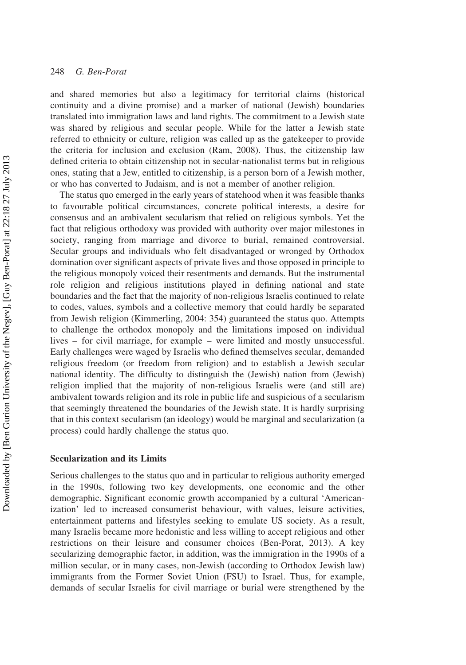and shared memories but also a legitimacy for territorial claims (historical continuity and a divine promise) and a marker of national (Jewish) boundaries translated into immigration laws and land rights. The commitment to a Jewish state was shared by religious and secular people. While for the latter a Jewish state referred to ethnicity or culture, religion was called up as the gatekeeper to provide the criteria for inclusion and exclusion (Ram, 2008). Thus, the citizenship law defined criteria to obtain citizenship not in secular-nationalist terms but in religious ones, stating that a Jew, entitled to citizenship, is a person born of a Jewish mother, or who has converted to Judaism, and is not a member of another religion.

The status quo emerged in the early years of statehood when it was feasible thanks to favourable political circumstances, concrete political interests, a desire for consensus and an ambivalent secularism that relied on religious symbols. Yet the fact that religious orthodoxy was provided with authority over major milestones in society, ranging from marriage and divorce to burial, remained controversial. Secular groups and individuals who felt disadvantaged or wronged by Orthodox domination over significant aspects of private lives and those opposed in principle to the religious monopoly voiced their resentments and demands. But the instrumental role religion and religious institutions played in defining national and state boundaries and the fact that the majority of non-religious Israelis continued to relate to codes, values, symbols and a collective memory that could hardly be separated from Jewish religion (Kimmerling, 2004: 354) guaranteed the status quo. Attempts to challenge the orthodox monopoly and the limitations imposed on individual lives – for civil marriage, for example – were limited and mostly unsuccessful. Early challenges were waged by Israelis who defined themselves secular, demanded religious freedom (or freedom from religion) and to establish a Jewish secular national identity. The difficulty to distinguish the (Jewish) nation from (Jewish) religion implied that the majority of non-religious Israelis were (and still are) ambivalent towards religion and its role in public life and suspicious of a secularism that seemingly threatened the boundaries of the Jewish state. It is hardly surprising that in this context secularism (an ideology) would be marginal and secularization (a process) could hardly challenge the status quo.

#### Secularization and its Limits

Serious challenges to the status quo and in particular to religious authority emerged in the 1990s, following two key developments, one economic and the other demographic. Significant economic growth accompanied by a cultural 'Americanization' led to increased consumerist behaviour, with values, leisure activities, entertainment patterns and lifestyles seeking to emulate US society. As a result, many Israelis became more hedonistic and less willing to accept religious and other restrictions on their leisure and consumer choices (Ben-Porat, 2013). A key secularizing demographic factor, in addition, was the immigration in the 1990s of a million secular, or in many cases, non-Jewish (according to Orthodox Jewish law) immigrants from the Former Soviet Union (FSU) to Israel. Thus, for example, demands of secular Israelis for civil marriage or burial were strengthened by the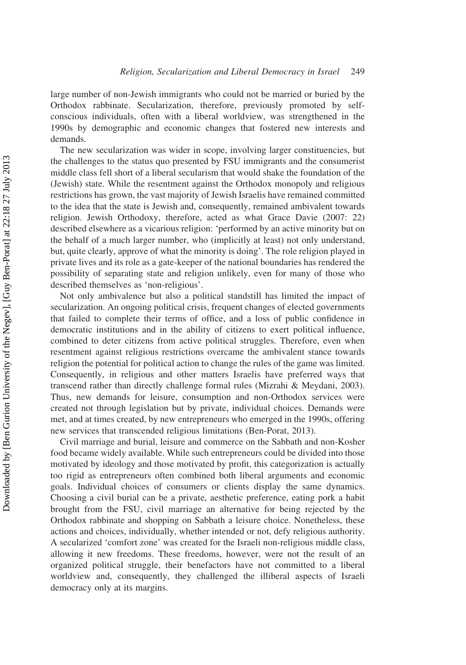large number of non-Jewish immigrants who could not be married or buried by the Orthodox rabbinate. Secularization, therefore, previously promoted by selfconscious individuals, often with a liberal worldview, was strengthened in the 1990s by demographic and economic changes that fostered new interests and demands.

The new secularization was wider in scope, involving larger constituencies, but the challenges to the status quo presented by FSU immigrants and the consumerist middle class fell short of a liberal secularism that would shake the foundation of the (Jewish) state. While the resentment against the Orthodox monopoly and religious restrictions has grown, the vast majority of Jewish Israelis have remained committed to the idea that the state is Jewish and, consequently, remained ambivalent towards religion. Jewish Orthodoxy, therefore, acted as what Grace Davie (2007: 22) described elsewhere as a vicarious religion: 'performed by an active minority but on the behalf of a much larger number, who (implicitly at least) not only understand, but, quite clearly, approve of what the minority is doing'. The role religion played in private lives and its role as a gate-keeper of the national boundaries has rendered the possibility of separating state and religion unlikely, even for many of those who described themselves as 'non-religious'.

Not only ambivalence but also a political standstill has limited the impact of secularization. An ongoing political crisis, frequent changes of elected governments that failed to complete their terms of office, and a loss of public confidence in democratic institutions and in the ability of citizens to exert political influence, combined to deter citizens from active political struggles. Therefore, even when resentment against religious restrictions overcame the ambivalent stance towards religion the potential for political action to change the rules of the game was limited. Consequently, in religious and other matters Israelis have preferred ways that transcend rather than directly challenge formal rules (Mizrahi & Meydani, 2003). Thus, new demands for leisure, consumption and non-Orthodox services were created not through legislation but by private, individual choices. Demands were met, and at times created, by new entrepreneurs who emerged in the 1990s, offering new services that transcended religious limitations (Ben-Porat, 2013).

Civil marriage and burial, leisure and commerce on the Sabbath and non-Kosher food became widely available. While such entrepreneurs could be divided into those motivated by ideology and those motivated by profit, this categorization is actually too rigid as entrepreneurs often combined both liberal arguments and economic goals. Individual choices of consumers or clients display the same dynamics. Choosing a civil burial can be a private, aesthetic preference, eating pork a habit brought from the FSU, civil marriage an alternative for being rejected by the Orthodox rabbinate and shopping on Sabbath a leisure choice. Nonetheless, these actions and choices, individually, whether intended or not, defy religious authority. A secularized 'comfort zone' was created for the Israeli non-religious middle class, allowing it new freedoms. These freedoms, however, were not the result of an organized political struggle, their benefactors have not committed to a liberal worldview and, consequently, they challenged the illiberal aspects of Israeli democracy only at its margins.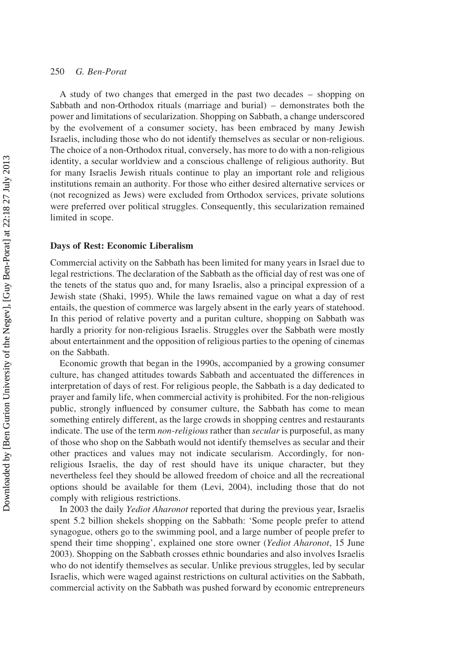A study of two changes that emerged in the past two decades – shopping on Sabbath and non-Orthodox rituals (marriage and burial) – demonstrates both the power and limitations of secularization. Shopping on Sabbath, a change underscored by the evolvement of a consumer society, has been embraced by many Jewish Israelis, including those who do not identify themselves as secular or non-religious. The choice of a non-Orthodox ritual, conversely, has more to do with a non-religious identity, a secular worldview and a conscious challenge of religious authority. But for many Israelis Jewish rituals continue to play an important role and religious institutions remain an authority. For those who either desired alternative services or (not recognized as Jews) were excluded from Orthodox services, private solutions were preferred over political struggles. Consequently, this secularization remained limited in scope.

#### Days of Rest: Economic Liberalism

Commercial activity on the Sabbath has been limited for many years in Israel due to legal restrictions. The declaration of the Sabbath as the official day of rest was one of the tenets of the status quo and, for many Israelis, also a principal expression of a Jewish state (Shaki, 1995). While the laws remained vague on what a day of rest entails, the question of commerce was largely absent in the early years of statehood. In this period of relative poverty and a puritan culture, shopping on Sabbath was hardly a priority for non-religious Israelis. Struggles over the Sabbath were mostly about entertainment and the opposition of religious parties to the opening of cinemas on the Sabbath.

Economic growth that began in the 1990s, accompanied by a growing consumer culture, has changed attitudes towards Sabbath and accentuated the differences in interpretation of days of rest. For religious people, the Sabbath is a day dedicated to prayer and family life, when commercial activity is prohibited. For the non-religious public, strongly influenced by consumer culture, the Sabbath has come to mean something entirely different, as the large crowds in shopping centres and restaurants indicate. The use of the term *non-religious* rather than *secular* is purposeful, as many of those who shop on the Sabbath would not identify themselves as secular and their other practices and values may not indicate secularism. Accordingly, for nonreligious Israelis, the day of rest should have its unique character, but they nevertheless feel they should be allowed freedom of choice and all the recreational options should be available for them (Levi, 2004), including those that do not comply with religious restrictions.

In 2003 the daily Yediot Aharonot reported that during the previous year, Israelis spent 5.2 billion shekels shopping on the Sabbath: 'Some people prefer to attend synagogue, others go to the swimming pool, and a large number of people prefer to spend their time shopping', explained one store owner (*Yediot Aharonot*, 15 June 2003). Shopping on the Sabbath crosses ethnic boundaries and also involves Israelis who do not identify themselves as secular. Unlike previous struggles, led by secular Israelis, which were waged against restrictions on cultural activities on the Sabbath, commercial activity on the Sabbath was pushed forward by economic entrepreneurs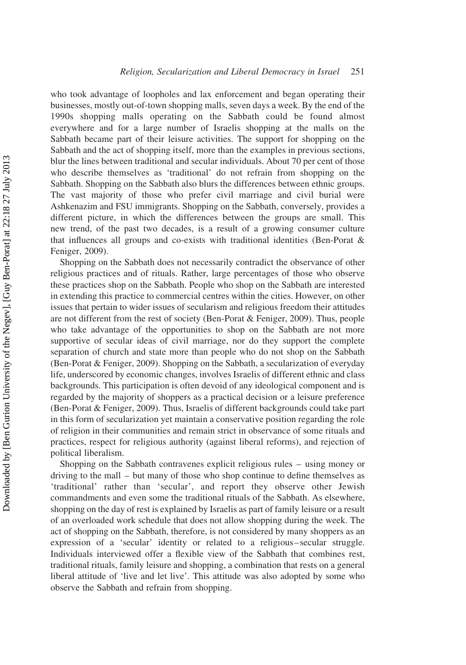who took advantage of loopholes and lax enforcement and began operating their businesses, mostly out-of-town shopping malls, seven days a week. By the end of the 1990s shopping malls operating on the Sabbath could be found almost everywhere and for a large number of Israelis shopping at the malls on the Sabbath became part of their leisure activities. The support for shopping on the Sabbath and the act of shopping itself, more than the examples in previous sections, blur the lines between traditional and secular individuals. About 70 per cent of those who describe themselves as 'traditional' do not refrain from shopping on the Sabbath. Shopping on the Sabbath also blurs the differences between ethnic groups. The vast majority of those who prefer civil marriage and civil burial were Ashkenazim and FSU immigrants. Shopping on the Sabbath, conversely, provides a different picture, in which the differences between the groups are small. This new trend, of the past two decades, is a result of a growing consumer culture that influences all groups and co-exists with traditional identities (Ben-Porat & Feniger, 2009).

Shopping on the Sabbath does not necessarily contradict the observance of other religious practices and of rituals. Rather, large percentages of those who observe these practices shop on the Sabbath. People who shop on the Sabbath are interested in extending this practice to commercial centres within the cities. However, on other issues that pertain to wider issues of secularism and religious freedom their attitudes are not different from the rest of society (Ben-Porat & Feniger, 2009). Thus, people who take advantage of the opportunities to shop on the Sabbath are not more supportive of secular ideas of civil marriage, nor do they support the complete separation of church and state more than people who do not shop on the Sabbath (Ben-Porat & Feniger, 2009). Shopping on the Sabbath, a secularization of everyday life, underscored by economic changes, involves Israelis of different ethnic and class backgrounds. This participation is often devoid of any ideological component and is regarded by the majority of shoppers as a practical decision or a leisure preference (Ben-Porat & Feniger, 2009). Thus, Israelis of different backgrounds could take part in this form of secularization yet maintain a conservative position regarding the role of religion in their communities and remain strict in observance of some rituals and practices, respect for religious authority (against liberal reforms), and rejection of political liberalism.

Shopping on the Sabbath contravenes explicit religious rules – using money or driving to the mall – but many of those who shop continue to define themselves as 'traditional' rather than 'secular', and report they observe other Jewish commandments and even some the traditional rituals of the Sabbath. As elsewhere, shopping on the day of rest is explained by Israelis as part of family leisure or a result of an overloaded work schedule that does not allow shopping during the week. The act of shopping on the Sabbath, therefore, is not considered by many shoppers as an expression of a 'secular' identity or related to a religious–secular struggle. Individuals interviewed offer a flexible view of the Sabbath that combines rest, traditional rituals, family leisure and shopping, a combination that rests on a general liberal attitude of 'live and let live'. This attitude was also adopted by some who observe the Sabbath and refrain from shopping.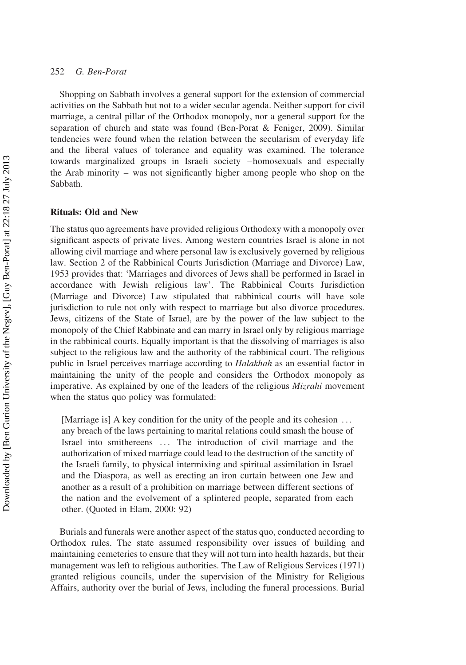Shopping on Sabbath involves a general support for the extension of commercial activities on the Sabbath but not to a wider secular agenda. Neither support for civil marriage, a central pillar of the Orthodox monopoly, nor a general support for the separation of church and state was found (Ben-Porat & Feniger, 2009). Similar tendencies were found when the relation between the secularism of everyday life and the liberal values of tolerance and equality was examined. The tolerance towards marginalized groups in Israeli society –homosexuals and especially the Arab minority – was not significantly higher among people who shop on the Sabbath.

#### Rituals: Old and New

The status quo agreements have provided religious Orthodoxy with a monopoly over significant aspects of private lives. Among western countries Israel is alone in not allowing civil marriage and where personal law is exclusively governed by religious law. Section 2 of the Rabbinical Courts Jurisdiction (Marriage and Divorce) Law, 1953 provides that: 'Marriages and divorces of Jews shall be performed in Israel in accordance with Jewish religious law'. The Rabbinical Courts Jurisdiction (Marriage and Divorce) Law stipulated that rabbinical courts will have sole jurisdiction to rule not only with respect to marriage but also divorce procedures. Jews, citizens of the State of Israel, are by the power of the law subject to the monopoly of the Chief Rabbinate and can marry in Israel only by religious marriage in the rabbinical courts. Equally important is that the dissolving of marriages is also subject to the religious law and the authority of the rabbinical court. The religious public in Israel perceives marriage according to Halakhah as an essential factor in maintaining the unity of the people and considers the Orthodox monopoly as imperative. As explained by one of the leaders of the religious Mizrahi movement when the status quo policy was formulated:

[Marriage is] A key condition for the unity of the people and its cohesion ... any breach of the laws pertaining to marital relations could smash the house of Israel into smithereens ... The introduction of civil marriage and the authorization of mixed marriage could lead to the destruction of the sanctity of the Israeli family, to physical intermixing and spiritual assimilation in Israel and the Diaspora, as well as erecting an iron curtain between one Jew and another as a result of a prohibition on marriage between different sections of the nation and the evolvement of a splintered people, separated from each other. (Quoted in Elam, 2000: 92)

Burials and funerals were another aspect of the status quo, conducted according to Orthodox rules. The state assumed responsibility over issues of building and maintaining cemeteries to ensure that they will not turn into health hazards, but their management was left to religious authorities. The Law of Religious Services (1971) granted religious councils, under the supervision of the Ministry for Religious Affairs, authority over the burial of Jews, including the funeral processions. Burial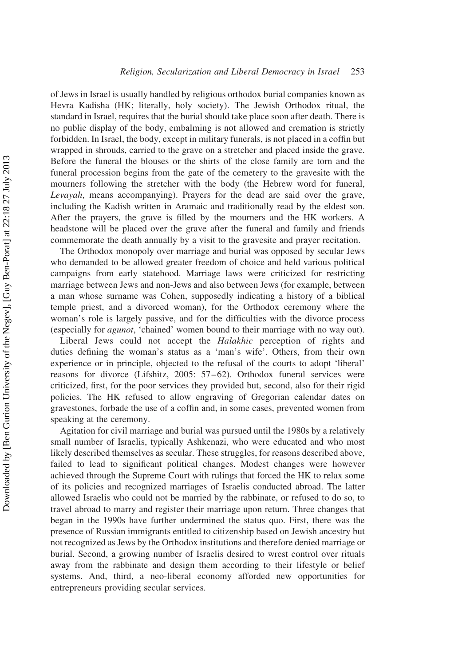of Jews in Israel is usually handled by religious orthodox burial companies known as Hevra Kadisha (HK; literally, holy society). The Jewish Orthodox ritual, the standard in Israel, requires that the burial should take place soon after death. There is no public display of the body, embalming is not allowed and cremation is strictly forbidden. In Israel, the body, except in military funerals, is not placed in a coffin but wrapped in shrouds, carried to the grave on a stretcher and placed inside the grave. Before the funeral the blouses or the shirts of the close family are torn and the funeral procession begins from the gate of the cemetery to the gravesite with the mourners following the stretcher with the body (the Hebrew word for funeral, Levayah, means accompanying). Prayers for the dead are said over the grave, including the Kadish written in Aramaic and traditionally read by the eldest son. After the prayers, the grave is filled by the mourners and the HK workers. A headstone will be placed over the grave after the funeral and family and friends commemorate the death annually by a visit to the gravesite and prayer recitation.

The Orthodox monopoly over marriage and burial was opposed by secular Jews who demanded to be allowed greater freedom of choice and held various political campaigns from early statehood. Marriage laws were criticized for restricting marriage between Jews and non-Jews and also between Jews (for example, between a man whose surname was Cohen, supposedly indicating a history of a biblical temple priest, and a divorced woman), for the Orthodox ceremony where the woman's role is largely passive, and for the difficulties with the divorce process (especially for agunot, 'chained' women bound to their marriage with no way out).

Liberal Jews could not accept the *Halakhic* perception of rights and duties defining the woman's status as a 'man's wife'. Others, from their own experience or in principle, objected to the refusal of the courts to adopt 'liberal' reasons for divorce (Lifshitz, 2005: 57–62). Orthodox funeral services were criticized, first, for the poor services they provided but, second, also for their rigid policies. The HK refused to allow engraving of Gregorian calendar dates on gravestones, forbade the use of a coffin and, in some cases, prevented women from speaking at the ceremony.

Agitation for civil marriage and burial was pursued until the 1980s by a relatively small number of Israelis, typically Ashkenazi, who were educated and who most likely described themselves as secular. These struggles, for reasons described above, failed to lead to significant political changes. Modest changes were however achieved through the Supreme Court with rulings that forced the HK to relax some of its policies and recognized marriages of Israelis conducted abroad. The latter allowed Israelis who could not be married by the rabbinate, or refused to do so, to travel abroad to marry and register their marriage upon return. Three changes that began in the 1990s have further undermined the status quo. First, there was the presence of Russian immigrants entitled to citizenship based on Jewish ancestry but not recognized as Jews by the Orthodox institutions and therefore denied marriage or burial. Second, a growing number of Israelis desired to wrest control over rituals away from the rabbinate and design them according to their lifestyle or belief systems. And, third, a neo-liberal economy afforded new opportunities for entrepreneurs providing secular services.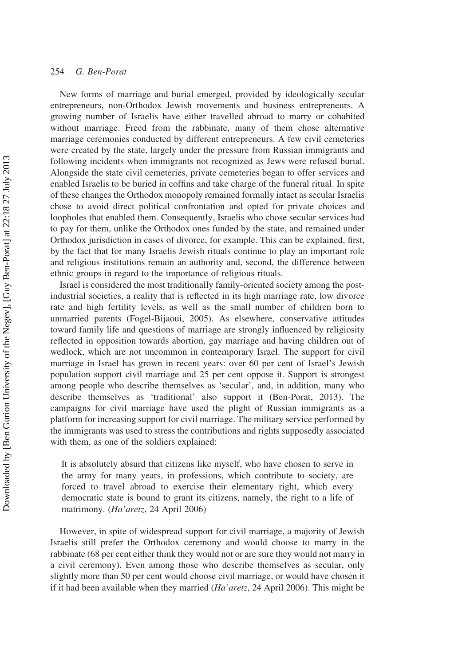New forms of marriage and burial emerged, provided by ideologically secular entrepreneurs, non-Orthodox Jewish movements and business entrepreneurs. A growing number of Israelis have either travelled abroad to marry or cohabited without marriage. Freed from the rabbinate, many of them chose alternative marriage ceremonies conducted by different entrepreneurs. A few civil cemeteries were created by the state, largely under the pressure from Russian immigrants and following incidents when immigrants not recognized as Jews were refused burial. Alongside the state civil cemeteries, private cemeteries began to offer services and enabled Israelis to be buried in coffins and take charge of the funeral ritual. In spite of these changes the Orthodox monopoly remained formally intact as secular Israelis chose to avoid direct political confrontation and opted for private choices and loopholes that enabled them. Consequently, Israelis who chose secular services had to pay for them, unlike the Orthodox ones funded by the state, and remained under Orthodox jurisdiction in cases of divorce, for example. This can be explained, first, by the fact that for many Israelis Jewish rituals continue to play an important role and religious institutions remain an authority and, second, the difference between ethnic groups in regard to the importance of religious rituals.

Israel is considered the most traditionally family-oriented society among the postindustrial societies, a reality that is reflected in its high marriage rate, low divorce rate and high fertility levels, as well as the small number of children born to unmarried parents (Fogel-Bijaoui, 2005). As elsewhere, conservative attitudes toward family life and questions of marriage are strongly influenced by religiosity reflected in opposition towards abortion, gay marriage and having children out of wedlock, which are not uncommon in contemporary Israel. The support for civil marriage in Israel has grown in recent years: over 60 per cent of Israel's Jewish population support civil marriage and 25 per cent oppose it. Support is strongest among people who describe themselves as 'secular', and, in addition, many who describe themselves as 'traditional' also support it (Ben-Porat, 2013). The campaigns for civil marriage have used the plight of Russian immigrants as a platform for increasing support for civil marriage. The military service performed by the immigrants was used to stress the contributions and rights supposedly associated with them, as one of the soldiers explained:

It is absolutely absurd that citizens like myself, who have chosen to serve in the army for many years, in professions, which contribute to society, are forced to travel abroad to exercise their elementary right, which every democratic state is bound to grant its citizens, namely, the right to a life of matrimony. (Ha'aretz, 24 April 2006)

However, in spite of widespread support for civil marriage, a majority of Jewish Israelis still prefer the Orthodox ceremony and would choose to marry in the rabbinate (68 per cent either think they would not or are sure they would not marry in a civil ceremony). Even among those who describe themselves as secular, only slightly more than 50 per cent would choose civil marriage, or would have chosen it if it had been available when they married  $(Ha'aretz, 24$  April 2006). This might be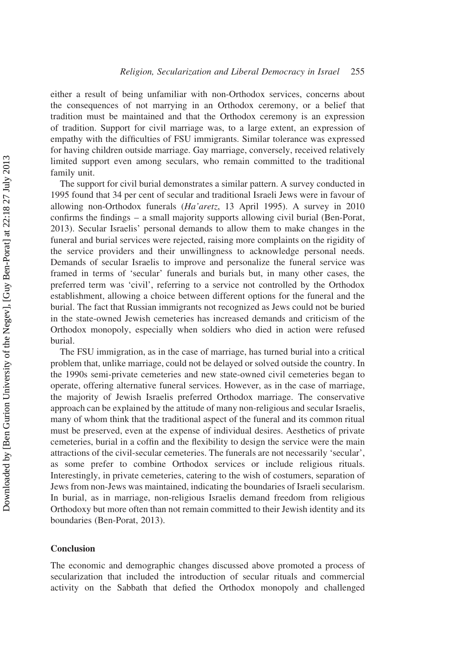either a result of being unfamiliar with non-Orthodox services, concerns about the consequences of not marrying in an Orthodox ceremony, or a belief that tradition must be maintained and that the Orthodox ceremony is an expression of tradition. Support for civil marriage was, to a large extent, an expression of empathy with the difficulties of FSU immigrants. Similar tolerance was expressed for having children outside marriage. Gay marriage, conversely, received relatively limited support even among seculars, who remain committed to the traditional family unit.

The support for civil burial demonstrates a similar pattern. A survey conducted in 1995 found that 34 per cent of secular and traditional Israeli Jews were in favour of allowing non-Orthodox funerals (Ha'aretz, 13 April 1995). A survey in 2010 confirms the findings – a small majority supports allowing civil burial (Ben-Porat, 2013). Secular Israelis' personal demands to allow them to make changes in the funeral and burial services were rejected, raising more complaints on the rigidity of the service providers and their unwillingness to acknowledge personal needs. Demands of secular Israelis to improve and personalize the funeral service was framed in terms of 'secular' funerals and burials but, in many other cases, the preferred term was 'civil', referring to a service not controlled by the Orthodox establishment, allowing a choice between different options for the funeral and the burial. The fact that Russian immigrants not recognized as Jews could not be buried in the state-owned Jewish cemeteries has increased demands and criticism of the Orthodox monopoly, especially when soldiers who died in action were refused burial.

The FSU immigration, as in the case of marriage, has turned burial into a critical problem that, unlike marriage, could not be delayed or solved outside the country. In the 1990s semi-private cemeteries and new state-owned civil cemeteries began to operate, offering alternative funeral services. However, as in the case of marriage, the majority of Jewish Israelis preferred Orthodox marriage. The conservative approach can be explained by the attitude of many non-religious and secular Israelis, many of whom think that the traditional aspect of the funeral and its common ritual must be preserved, even at the expense of individual desires. Aesthetics of private cemeteries, burial in a coffin and the flexibility to design the service were the main attractions of the civil-secular cemeteries. The funerals are not necessarily 'secular', as some prefer to combine Orthodox services or include religious rituals. Interestingly, in private cemeteries, catering to the wish of costumers, separation of Jews from non-Jews was maintained, indicating the boundaries of Israeli secularism. In burial, as in marriage, non-religious Israelis demand freedom from religious Orthodoxy but more often than not remain committed to their Jewish identity and its boundaries (Ben-Porat, 2013).

#### Conclusion

The economic and demographic changes discussed above promoted a process of secularization that included the introduction of secular rituals and commercial activity on the Sabbath that defied the Orthodox monopoly and challenged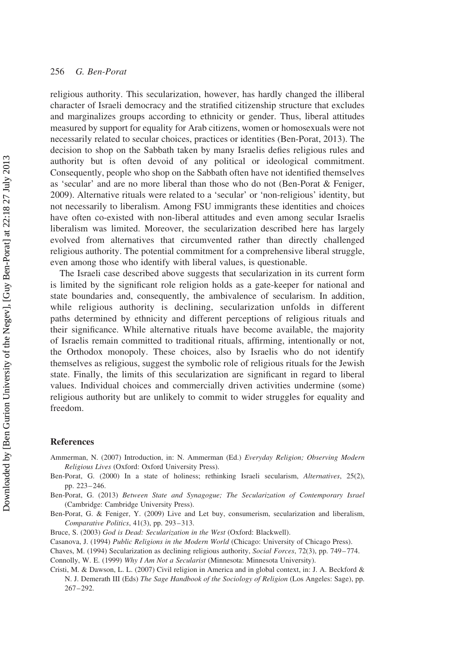religious authority. This secularization, however, has hardly changed the illiberal character of Israeli democracy and the stratified citizenship structure that excludes and marginalizes groups according to ethnicity or gender. Thus, liberal attitudes measured by support for equality for Arab citizens, women or homosexuals were not necessarily related to secular choices, practices or identities (Ben-Porat, 2013). The decision to shop on the Sabbath taken by many Israelis defies religious rules and authority but is often devoid of any political or ideological commitment. Consequently, people who shop on the Sabbath often have not identified themselves as 'secular' and are no more liberal than those who do not (Ben-Porat & Feniger, 2009). Alternative rituals were related to a 'secular' or 'non-religious' identity, but not necessarily to liberalism. Among FSU immigrants these identities and choices have often co-existed with non-liberal attitudes and even among secular Israelis liberalism was limited. Moreover, the secularization described here has largely evolved from alternatives that circumvented rather than directly challenged religious authority. The potential commitment for a comprehensive liberal struggle, even among those who identify with liberal values, is questionable.

The Israeli case described above suggests that secularization in its current form is limited by the significant role religion holds as a gate-keeper for national and state boundaries and, consequently, the ambivalence of secularism. In addition, while religious authority is declining, secularization unfolds in different paths determined by ethnicity and different perceptions of religious rituals and their significance. While alternative rituals have become available, the majority of Israelis remain committed to traditional rituals, affirming, intentionally or not, the Orthodox monopoly. These choices, also by Israelis who do not identify themselves as religious, suggest the symbolic role of religious rituals for the Jewish state. Finally, the limits of this secularization are significant in regard to liberal values. Individual choices and commercially driven activities undermine (some) religious authority but are unlikely to commit to wider struggles for equality and freedom.

#### References

- Ammerman, N. (2007) Introduction, in: N. Ammerman (Ed.) Everyday Religion; Observing Modern Religious Lives (Oxford: Oxford University Press).
- Ben-Porat, G. (2000) In a state of holiness; rethinking Israeli secularism, Alternatives, 25(2), pp. 223–246.
- Ben-Porat, G. (2013) Between State and Synagogue; The Secularization of Contemporary Israel (Cambridge: Cambridge University Press).
- Ben-Porat, G. & Feniger, Y. (2009) Live and Let buy, consumerism, secularization and liberalism, Comparative Politics, 41(3), pp. 293–313.
- Bruce, S. (2003) God is Dead: Secularization in the West (Oxford: Blackwell).
- Casanova, J. (1994) Public Religions in the Modern World (Chicago: University of Chicago Press).
- Chaves, M. (1994) Secularization as declining religious authority, Social Forces, 72(3), pp. 749–774.
- Connolly, W. E. (1999) Why I Am Not a Secularist (Minnesota: Minnesota University).
- Cristi, M. & Dawson, L. L. (2007) Civil religion in America and in global context, in: J. A. Beckford & N. J. Demerath III (Eds) The Sage Handbook of the Sociology of Religion (Los Angeles: Sage), pp. 267–292.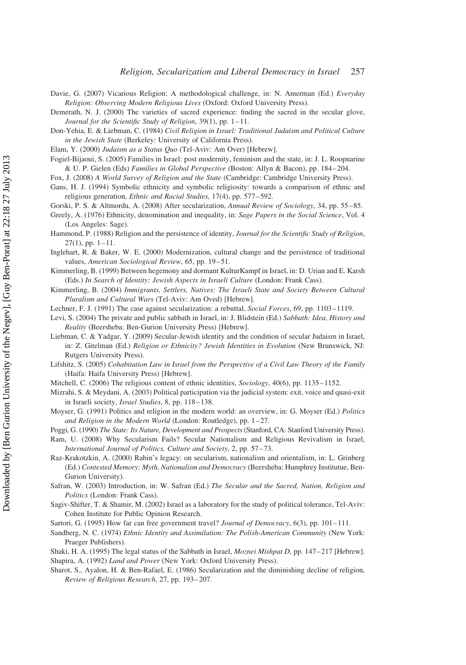Davie, G. (2007) Vicarious Religion: A methodological challenge, in: N. Amerman (Ed.) Everyday Religion: Observing Modern Religious Lives (Oxford: Oxford University Press).

Demerath, N. J. (2000) The varieties of sacred experience: finding the sacred in the secular glove, Journal for the Scientific Study of Religion, 39(1), pp. 1–11.

Don-Yehia, E. & Liebman, C. (1984) Civil Religion in Israel: Traditional Judaism and Political Culture in the Jewish State (Berkeley: University of California Press).

Elam, Y. (2000) Judaism as a Status Quo (Tel-Aviv: Am Over) [Hebrew].

Fogiel-Bijaoui, S. (2005) Families in Israel: post modernity, feminism and the state, in: J. L. Roopnarine & U. P. Gielen (Eds) Families in Global Perspective (Boston: Allyn & Bacon), pp. 184–204.

Fox, J. (2008) A World Survey of Religion and the State (Cambridge: Cambridge University Press).

Gans, H. J. (1994) Symbolic ethnicity and symbolic religiosity: towards a comparison of ethnic and religious generation, Ethnic and Racial Studies, 17(4), pp. 577–592.

Gorski, P. S. & Altmordu, A. (2008) After secularization, Annual Review of Sociology, 34, pp. 55–85.

Greely, A. (1976) Ethnicity, denomination and inequality, in: Sage Papers in the Social Science, Vol. 4 (Los Angeles: Sage).

Hammond, P. (1988) Religion and the persistence of identity, Journal for the Scientific Study of Religion,  $27(1)$ , pp.  $1-11$ .

Inglehart, R. & Baker, W. E. (2000) Modernization, cultural change and the persistence of traditional values, American Sociological Review, 65, pp. 19–51.

Kimmerling, B. (1999) Between hegemony and dormant KulturKampf in Israel, in: D. Urian and E. Karsh (Eds.) In Search of Identity: Jewish Aspects in Israeli Culture (London: Frank Cass).

Kimmerling, B. (2004) Immigrants, Settlers, Natives: The Israeli State and Society Between Cultural Pluralism and Cultural Wars (Tel-Aviv: Am Oved) [Hebrew].

Lechner, F. J. (1991) The case against secularization: a rebuttal, *Social Forces*, 69, pp. 1103–1119.

Levi, S. (2004) The private and public sabbath in Israel, in: J. Blidstein (Ed.) Sabbath: Idea, History and Reality (Beersheba: Ben-Gurion University Press) [Hebrew].

Liebman, C. & Yadgar, Y. (2009) Secular-Jewish identity and the condition of secular Judaism in Israel, in: Z. Gitelman (Ed.) Religion or Ethnicity? Jewish Identities in Evolution (New Brunswick, NJ: Rutgers University Press).

Lifshitz, S. (2005) Cohabitation Law in Israel from the Perspective of a Civil Law Theory of the Family (Haifa: Haifa University Press) [Hebrew].

Mitchell, C. (2006) The religious content of ethnic identities, Sociology, 40(6), pp. 1135–1152.

Mizrahi, S. & Meydani, A. (2003) Political participation via the judicial system: exit, voice and quasi-exit in Israeli society, Israel Studies, 8, pp. 118-138.

Moyser, G. (1991) Politics and religion in the modern world: an overview, in: G. Moyser (Ed.) Politics and Religion in the Modern World (London: Routledge), pp. 1–27.

Poggi, G. (1990) The State: Its Nature, Development and Prospects (Stanford, CA: Stanford University Press).

Ram, U. (2008) Why Secularism Fails? Secular Nationalism and Religious Revivalism in Israel, International Journal of Politics, Culture and Society, 2, pp. 57–73.

Raz-Krakotzkin, A. (2000) Rabin's legacy: on secularism, nationalism and orientalism, in: L. Grinberg (Ed.) Contested Memory: Myth, Nationalism and Democracy (Beersheba: Humphrey Institutue, Ben-Gurion University).

Safran, W. (2003) Introduction, in: W. Safran (Ed.) The Secular and the Sacred, Nation, Religion and Politics (London: Frank Cass).

Sagiv-Shifter, T. & Shamir, M. (2002) Israel as a laboratory for the study of political tolerance, Tel-Aviv: Cohen Institute for Public Opinion Research.

Sartori, G. (1995) How far can free government travel? Journal of Democracy, 6(3), pp. 101-111.

Sandberg, N. C. (1974) Ethnic Identity and Assimilation: The Polish-American Community (New York: Praeger Publishers).

Shaki, H. A. (1995) The legal status of the Sabbath in Israel, Moznei Mishpat D, pp. 147–217 [Hebrew]. Shapira, A. (1992) Land and Power (New York: Oxford University Press).

Sharot, S., Ayalon, H. & Ben-Rafael, E. (1986) Secularization and the diminishing decline of religion, Review of Religious Research, 27, pp. 193–207.